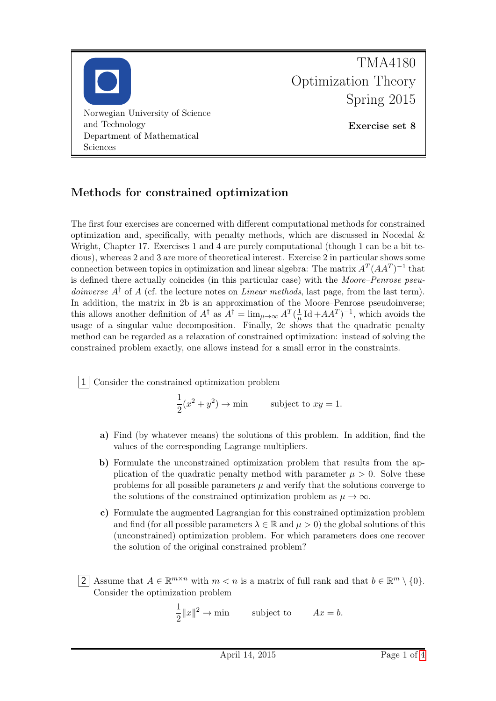

## Methods for constrained optimization

The first four exercises are concerned with different computational methods for constrained optimization and, specifically, with penalty methods, which are discussed in Nocedal  $\&$ Wright, Chapter 17. Exercises 1 and 4 are purely computational (though 1 can be a bit tedious), whereas 2 and 3 are more of theoretical interest. Exercise 2 in particular shows some connection between topics in optimization and linear algebra: The matrix  $A<sup>T</sup>(AA<sup>T</sup>)<sup>-1</sup>$  that is defined there actually coincides (in this particular case) with the Moore–Penrose pseu*doinverse*  $A^{\dagger}$  of A (cf. the lecture notes on *Linear methods*, last page, from the last term). In addition, the matrix in 2b is an approximation of the Moore–Penrose pseudoinverse; this allows another definition of  $A^{\dagger}$  as  $A^{\dagger} = \lim_{\mu \to \infty} A^T(\frac{1}{\mu})$  $\frac{1}{\mu}$  Id  $+A A^T$ )<sup>-1</sup>, which avoids the usage of a singular value decomposition. Finally, 2c shows that the quadratic penalty method can be regarded as a relaxation of constrained optimization: instead of solving the constrained problem exactly, one allows instead for a small error in the constraints.

1 Consider the constrained optimization problem

1  $\frac{1}{2}(x^2+y^2) \rightarrow \text{min}$  subject to  $xy=1$ .

- a) Find (by whatever means) the solutions of this problem. In addition, find the values of the corresponding Lagrange multipliers.
- b) Formulate the unconstrained optimization problem that results from the application of the quadratic penalty method with parameter  $\mu > 0$ . Solve these problems for all possible parameters  $\mu$  and verify that the solutions converge to the solutions of the constrained optimization problem as  $\mu \to \infty$ .
- c) Formulate the augmented Lagrangian for this constrained optimization problem and find (for all possible parameters  $\lambda \in \mathbb{R}$  and  $\mu > 0$ ) the global solutions of this (unconstrained) optimization problem. For which parameters does one recover the solution of the original constrained problem?
- 2 Assume that  $A \in \mathbb{R}^{m \times n}$  with  $m < n$  is a matrix of full rank and that  $b \in \mathbb{R}^m \setminus \{0\}.$ Consider the optimization problem

1  $\frac{1}{2}||x||^2 \to \text{min}$  subject to  $Ax = b$ .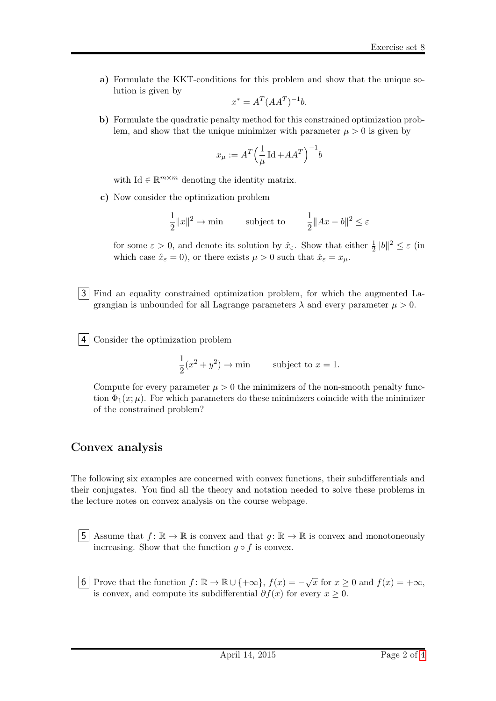a) Formulate the KKT-conditions for this problem and show that the unique solution is given by

$$
x^* = A^T (AA^T)^{-1}b.
$$

b) Formulate the quadratic penalty method for this constrained optimization problem, and show that the unique minimizer with parameter  $\mu > 0$  is given by

$$
x_\mu := A^T \Big(\frac{1}{\mu} \operatorname{Id} + AA^T\Big)^{-1}b
$$

with Id  $\in \mathbb{R}^{m \times m}$  denoting the identity matrix.

c) Now consider the optimization problem

$$
\frac{1}{2}||x||^2 \to \min \qquad \text{subject to} \qquad \frac{1}{2}||Ax - b||^2 \le \varepsilon
$$

for some  $\varepsilon > 0$ , and denote its solution by  $\hat{x}_{\varepsilon}$ . Show that either  $\frac{1}{2}||b||^2 \leq \varepsilon$  (in which case  $\hat{x}_{\varepsilon} = 0$ , or there exists  $\mu > 0$  such that  $\hat{x}_{\varepsilon} = x_{\mu}$ .

3 Find an equality constrained optimization problem, for which the augmented Lagrangian is unbounded for all Lagrange parameters  $\lambda$  and every parameter  $\mu > 0$ .

4 Consider the optimization problem

$$
\frac{1}{2}(x^2 + y^2) \to \min \qquad \text{subject to } x = 1.
$$

Compute for every parameter  $\mu > 0$  the minimizers of the non-smooth penalty function  $\Phi_1(x;\mu)$ . For which parameters do these minimizers coincide with the minimizer of the constrained problem?

## Convex analysis

The following six examples are concerned with convex functions, their subdifferentials and their conjugates. You find all the theory and notation needed to solve these problems in the lecture notes on convex analysis on the course webpage.

5 Assume that  $f: \mathbb{R} \to \mathbb{R}$  is convex and that  $g: \mathbb{R} \to \mathbb{R}$  is convex and monotoneously increasing. Show that the function  $g \circ f$  is convex.

6 Prove that the function  $f: \mathbb{R} \to \mathbb{R} \cup \{+\infty\}, f(x) = -\sqrt{x}$  for  $x \geq 0$  and  $f(x) = +\infty$ , is convex, and compute its subdifferential  $\partial f(x)$  for every  $x \geq 0$ .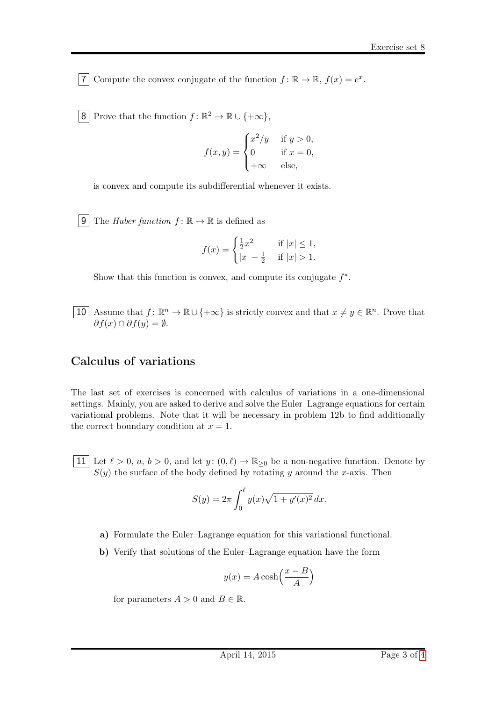7 Compute the convex conjugate of the function  $f: \mathbb{R} \to \mathbb{R}$ ,  $f(x) = e^x$ .

8 Prove that the function  $f: \mathbb{R}^2 \to \mathbb{R} \cup \{+\infty\},\$ 

$$
f(x,y) = \begin{cases} x^2/y & \text{if } y > 0, \\ 0 & \text{if } x = 0, \\ +\infty & \text{else,} \end{cases}
$$

is convex and compute its subdifferential whenever it exists.

**9** The *Huber function*  $f: \mathbb{R} \to \mathbb{R}$  is defined as

$$
f(x) = \begin{cases} \frac{1}{2}x^2 & \text{if } |x| \le 1, \\ |x| - \frac{1}{2} & \text{if } |x| > 1. \end{cases}
$$

Show that this function is convex, and compute its conjugate  $f^*$ .

10 Assume that  $f: \mathbb{R}^n \to \mathbb{R} \cup \{+\infty\}$  is strictly convex and that  $x \neq y \in \mathbb{R}^n$ . Prove that  $\partial f(x) \cap \partial f(y) = \emptyset.$ 

## Calculus of variations

The last set of exercises is concerned with calculus of variations in a one-dimensional settings. Mainly, you are asked to derive and solve the Euler–Lagrange equations for certain variational problems. Note that it will be necessary in problem 12b to find additionally the correct boundary condition at  $x = 1$ .

11 Let  $\ell > 0$ ,  $a, b > 0$ , and let  $y: (0, \ell) \to \mathbb{R}_{\geq 0}$  be a non-negative function. Denote by  $S(y)$  the surface of the body defined by rotating y around the x-axis. Then

$$
S(y) = 2\pi \int_0^{\ell} y(x)\sqrt{1+y'(x)^2} \, dx.
$$

- a) Formulate the Euler–Lagrange equation for this variational functional.
- b) Verify that solutions of the Euler–Lagrange equation have the form

$$
y(x) = A \cosh\left(\frac{x - B}{A}\right)
$$

for parameters  $A > 0$  and  $B \in \mathbb{R}$ .